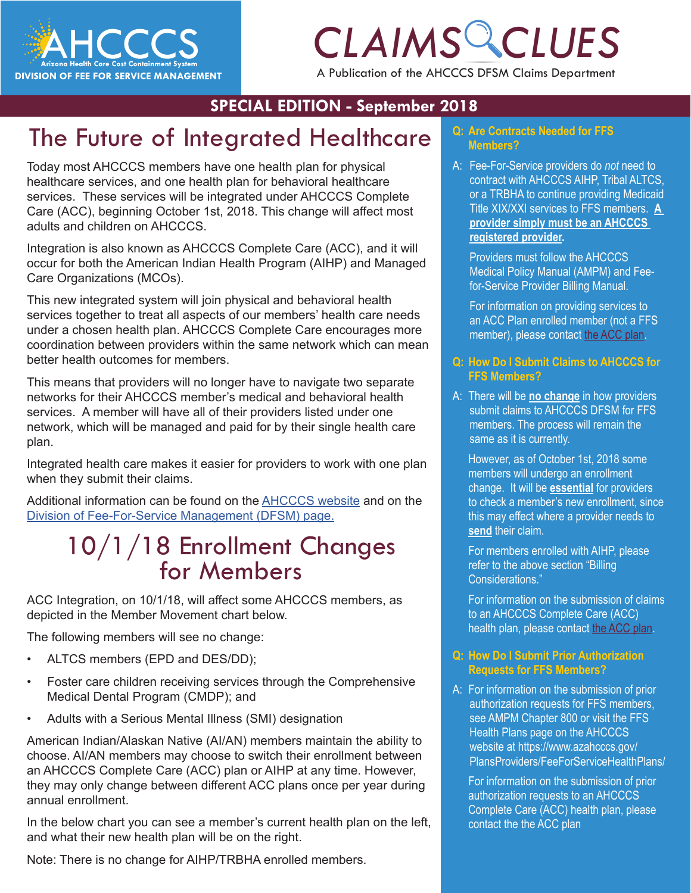

# *CLAIMS CLUES*

A Publication of the AHCCCS DFSM Claims Department

#### **SPECIAL EDITION - September 2018**

# The Future of Integrated Healthcare

Today most AHCCCS members have one health plan for physical healthcare services, and one health plan for behavioral healthcare services. These services will be integrated under AHCCCS Complete Care (ACC), beginning October 1st, 2018. This change will affect most adults and children on AHCCCS.

Integration is also known as AHCCCS Complete Care (ACC), and it will occur for both the American Indian Health Program (AIHP) and Managed Care Organizations (MCOs).

This new integrated system will join physical and behavioral health services together to treat all aspects of our members' health care needs under a chosen health plan. AHCCCS Complete Care encourages more coordination between providers within the same network which can mean better health outcomes for members.

This means that providers will no longer have to navigate two separate networks for their AHCCCS member's medical and behavioral health services. A member will have all of their providers listed under one network, which will be managed and paid for by their single health care plan.

Integrated health care makes it easier for providers to work with one plan when they submit their claims.

Additional information can be found on the [AHCCCS website](https://www.azahcccs.gov/AHCCCS/Initiatives/AHCCCSCompleteCare/) and on the [Division of Fee-For-Service Management \(DFSM\) page](https://www.azahcccs.gov/PlansProviders/FeeForServiceHealthPlans/).

### 10/1/18 Enrollment Changes for Members

ACC Integration, on 10/1/18, will affect some AHCCCS members, as depicted in the Member Movement chart below.

The following members will see no change:

- ALTCS members (EPD and DES/DD);
- Foster care children receiving services through the Comprehensive Medical Dental Program (CMDP); and
- Adults with a Serious Mental Illness (SMI) designation

American Indian/Alaskan Native (AI/AN) members maintain the ability to choose. AI/AN members may choose to switch their enrollment between an AHCCCS Complete Care (ACC) plan or AIHP at any time. However, they may only change between different ACC plans once per year during annual enrollment.

In the below chart you can see a member's current health plan on the left, and what their new health plan will be on the right.

Note: There is no change for AIHP/TRBHA enrolled members.

#### **Q: Are Contracts Needed for FFS Members?**

**CLICE Members?**<br>
A: Fee-For-Service providers do *not* need to<br>
contract with AHCCCS AIHP, Tribal ALTCS, A: Fee-For-Service providers do *not* need to or a TRBHA to continue providing Medicaid Title XIX/XXI services to FFS members. **A provider simply must be an AHCCCS registered provider.** 

> Providers must follow the AHCCCS Medical Policy Manual (AMPM) and Feefor-Service Provider Billing Manual.

For information on providing services to an ACC Plan enrolled member (not a FFS member), please contact [the ACC plan](https://www.azahcccs.gov/AHCCCS/Initiatives/AHCCCSCompleteCare/).

#### **Q: How Do I Submit Claims to AHCCCS for FFS Members?**

A: There will be **no change** in how providers submit claims to AHCCCS DFSM for FFS members. The process will remain the same as it is currently.

However, as of October 1st, 2018 some members will undergo an enrollment change. It will be **essential** for providers to check a member's new enrollment, since this may effect where a provider needs to **send** their claim.

For members enrolled with AIHP, please refer to the above section "Billing Considerations."

For information on the submission of claims to an AHCCCS Complete Care (ACC) health plan, please contact [the ACC plan](https://www.azahcccs.gov/AHCCCS/Initiatives/AHCCCSCompleteCare/).

#### **Q: How Do I Submit Prior Authorization Requests for FFS Members?**

A: For information on the submission of prior authorization requests for FFS members, see AMPM Chapter 800 or visit the FFS Health Plans page on the AHCCCS website at [https://www.azahcccs.gov/](https://www.azahcccs.gov/PlansProviders/FeeForServiceHealthPlans/) [PlansProviders/FeeForServiceHealthPlans/](https://www.azahcccs.gov/PlansProviders/FeeForServiceHealthPlans/)

For information on the submission of prior authorization requests to an AHCCCS Complete Care (ACC) health plan, please contact the [the ACC plan](https://www.azahcccs.gov/AHCCCS/Initiatives/AHCCCSCompleteCare/)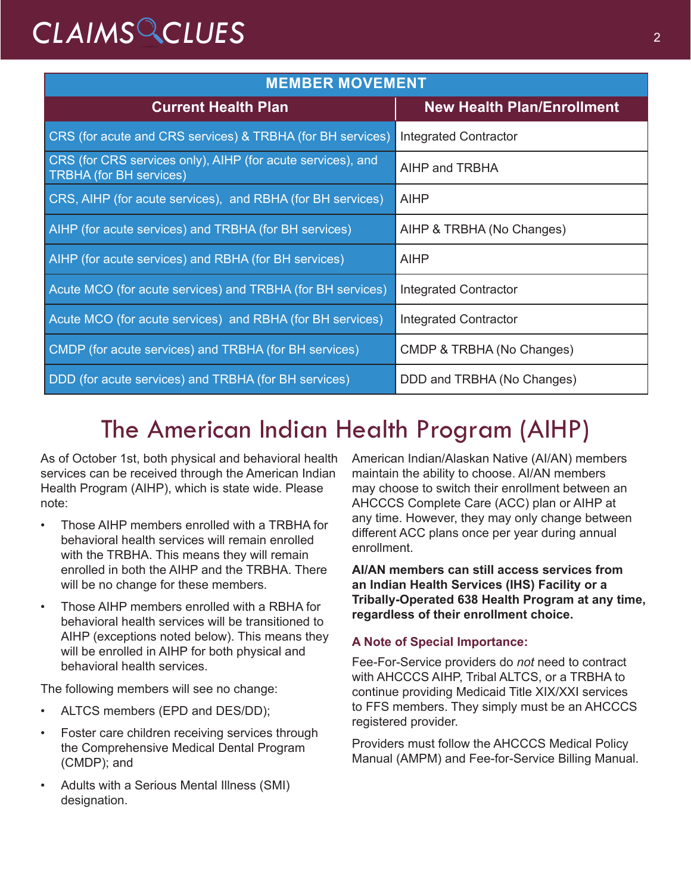# *CLAIMS CLUES* <sup>2</sup>

| <b>MEMBER MOVEMENT</b>                                                                        |                                   |
|-----------------------------------------------------------------------------------------------|-----------------------------------|
| <b>Current Health Plan</b>                                                                    | <b>New Health Plan/Enrollment</b> |
| CRS (for acute and CRS services) & TRBHA (for BH services)                                    | <b>Integrated Contractor</b>      |
| CRS (for CRS services only), AIHP (for acute services), and<br><b>TRBHA</b> (for BH services) | AIHP and TRBHA                    |
| CRS, AIHP (for acute services), and RBHA (for BH services)                                    | <b>AIHP</b>                       |
| AIHP (for acute services) and TRBHA (for BH services)                                         | AIHP & TRBHA (No Changes)         |
| AIHP (for acute services) and RBHA (for BH services)                                          | <b>AIHP</b>                       |
| Acute MCO (for acute services) and TRBHA (for BH services)                                    | <b>Integrated Contractor</b>      |
| Acute MCO (for acute services) and RBHA (for BH services)                                     | Integrated Contractor             |
| CMDP (for acute services) and TRBHA (for BH services)                                         | CMDP & TRBHA (No Changes)         |
| DDD (for acute services) and TRBHA (for BH services)                                          | DDD and TRBHA (No Changes)        |

## The American Indian Health Program (AIHP)

As of October 1st, both physical and behavioral health services can be received through the American Indian Health Program (AIHP), which is state wide. Please note:

- Those AIHP members enrolled with a TRBHA for behavioral health services will remain enrolled with the TRBHA. This means they will remain enrolled in both the AIHP and the TRBHA. There will be no change for these members.
- Those AIHP members enrolled with a RBHA for behavioral health services will be transitioned to AIHP (exceptions noted below). This means they will be enrolled in AIHP for both physical and behavioral health services.

The following members will see no change:

- ALTCS members (EPD and DES/DD);
- Foster care children receiving services through the Comprehensive Medical Dental Program (CMDP); and
- Adults with a Serious Mental Illness (SMI) designation.

American Indian/Alaskan Native (AI/AN) members maintain the ability to choose. AI/AN members may choose to switch their enrollment between an AHCCCS Complete Care (ACC) plan or AIHP at any time. However, they may only change between different ACC plans once per year during annual enrollment.

**AI/AN members can still access services from an Indian Health Services (IHS) Facility or a Tribally-Operated 638 Health Program at any time, regardless of their enrollment choice.** 

#### **A Note of Special Importance:**

Fee-For-Service providers do *not* need to contract with AHCCCS AIHP, Tribal ALTCS, or a TRBHA to continue providing Medicaid Title XIX/XXI services to FFS members. They simply must be an AHCCCS registered provider.

Providers must follow the AHCCCS Medical Policy Manual (AMPM) and Fee-for-Service Billing Manual.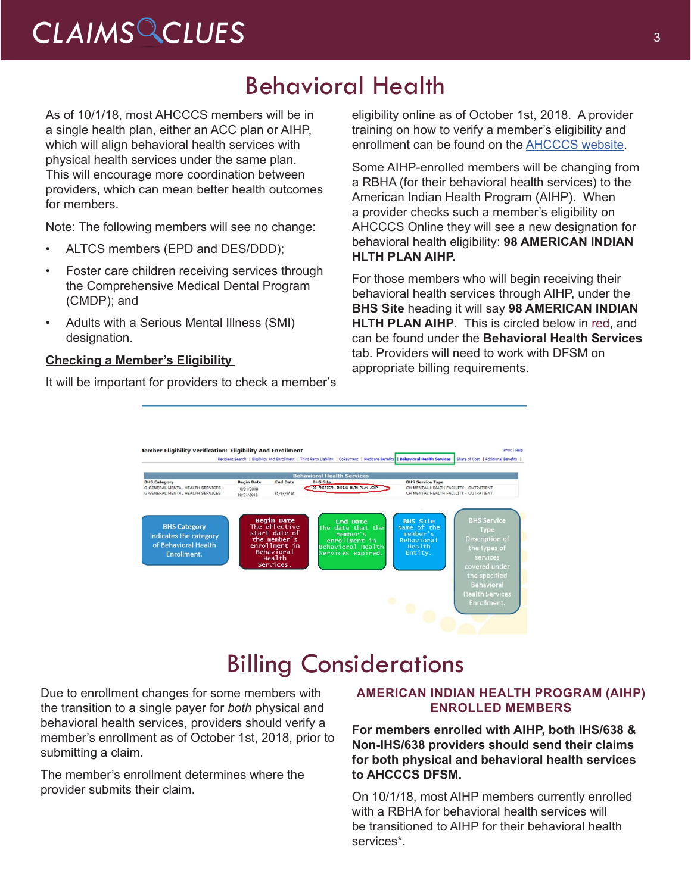# CLAIMS CLUES<sup>3</sup>

### Behavioral Health

As of 10/1/18, most AHCCCS members will be in a single health plan, either an ACC plan or AIHP, which will align behavioral health services with physical health services under the same plan. This will encourage more coordination between providers, which can mean better health outcomes for members.

Note: The following members will see no change:

- ALTCS members (EPD and DES/DDD);
- Foster care children receiving services through the Comprehensive Medical Dental Program (CMDP); and
- Adults with a Serious Mental Illness (SMI) designation.

#### **Checking a Member's Eligibility**

It will be important for providers to check a member's

eligibility online as of October 1st, 2018. A provider training on how to verify a member's eligibility and enrollment can be found on the [AHCCCS website.](https://www.azahcccs.gov/Resources/Downloads/DFMSTraining/2018/MemberEligibility.pdf)

Some AIHP-enrolled members will be changing from a RBHA (for their behavioral health services) to the American Indian Health Program (AIHP). When a provider checks such a member's eligibility on AHCCCS Online they will see a new designation for behavioral health eligibility: **98 AMERICAN INDIAN HLTH PLAN AIHP.** 

For those members who will begin receiving their behavioral health services through AIHP, under the **BHS Site** heading it will say **98 AMERICAN INDIAN HLTH PLAN AIHP**. This is circled below in red, and can be found under the **Behavioral Health Services** tab. Providers will need to work with DFSM on appropriate billing requirements.



### Billing Considerations

Due to enrollment changes for some members with the transition to a single payer for *both* physical and behavioral health services, providers should verify a member's enrollment as of October 1st, 2018, prior to submitting a claim.

The member's enrollment determines where the provider submits their claim.

#### **AMERICAN INDIAN HEALTH PROGRAM (AIHP) ENROLLED MEMBERS**

**For members enrolled with AIHP, both IHS/638 & Non-IHS/638 providers should send their claims for both physical and behavioral health services to AHCCCS DFSM.**

On 10/1/18, most AIHP members currently enrolled with a RBHA for behavioral health services will be transitioned to AIHP for their behavioral health services\*.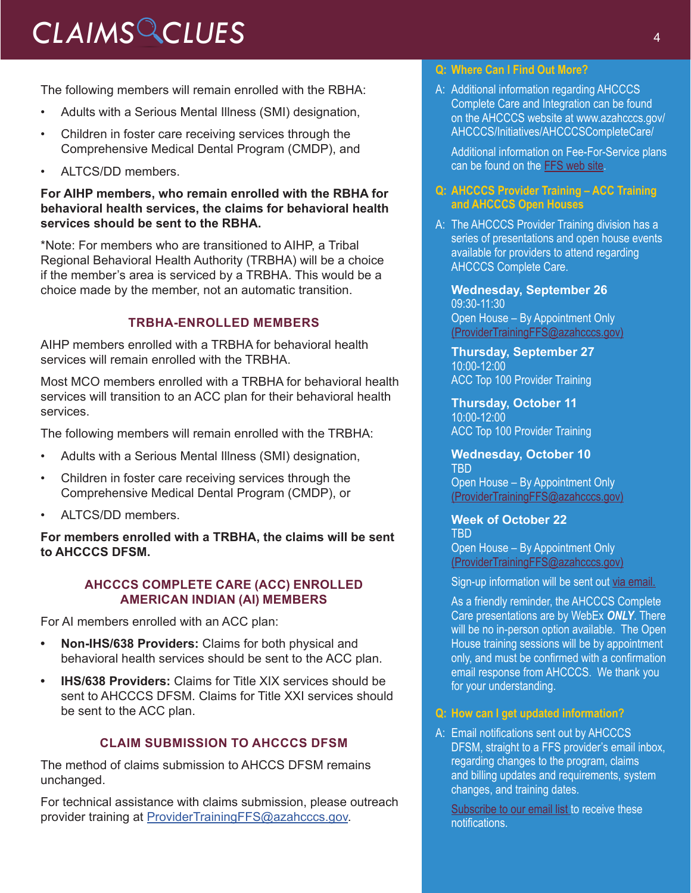# *CLAIMS CLUES* <sup>4</sup>

The following members will remain enrolled with the RBHA:

- Adults with a Serious Mental Illness (SMI) designation,
- Children in foster care receiving services through the Comprehensive Medical Dental Program (CMDP), and
- ALTCS/DD members.

#### **For AIHP members, who remain enrolled with the RBHA for behavioral health services, the claims for behavioral health services should be sent to the RBHA.**

\*Note: For members who are transitioned to AIHP, a Tribal Regional Behavioral Health Authority (TRBHA) will be a choice if the member's area is serviced by a TRBHA. This would be a choice made by the member, not an automatic transition.

#### **TRBHA-ENROLLED MEMBERS**

AIHP members enrolled with a TRBHA for behavioral health services will remain enrolled with the TRBHA.

Most MCO members enrolled with a TRBHA for behavioral health services will transition to an ACC plan for their behavioral health services.

The following members will remain enrolled with the TRBHA:

- Adults with a Serious Mental Illness (SMI) designation,
- Children in foster care receiving services through the Comprehensive Medical Dental Program (CMDP), or
- ALTCS/DD members.

**For members enrolled with a TRBHA, the claims will be sent to AHCCCS DFSM.** 

#### **AHCCCS COMPLETE CARE (ACC) ENROLLED AMERICAN INDIAN (AI) MEMBERS**

For AI members enrolled with an ACC plan:

- **• Non-IHS/638 Providers:** Claims for both physical and behavioral health services should be sent to the ACC plan.
- **• IHS/638 Providers:** Claims for Title XIX services should be sent to AHCCCS DFSM. Claims for Title XXI services should be sent to the ACC plan.

#### **CLAIM SUBMISSION TO AHCCCS DFSM**

The method of claims submission to AHCCS DFSM remains unchanged.

For technical assistance with claims submission, please outreach provider training at [ProviderTrainingFFS@azahcccs.gov](mailto:ProviderTrainingFFS%40azahcccs.gov?subject=).

#### **Q: Where Can I Find Out More?**

A: Additional information regarding AHCCCS Complete Care and Integration can be found on the AHCCCS website at [www.azahcccs.gov/](https://www.azahcccs.gov/AHCCCS/Initiatives/AHCCCSCompleteCare/) [AHCCCS/Initiatives/AHCCCSCompleteCare/](https://www.azahcccs.gov/AHCCCS/Initiatives/AHCCCSCompleteCare/)

Additional information on Fee-For-Service plans can be found on the [FFS web site.](https://www.azahcccs.gov/PlansProviders/FeeForServiceHealthPlans/)

#### **Q: AHCCCS Provider Training – ACC Training and AHCCCS Open Houses**

A: The AHCCCS Provider Training division has a series of presentations and open house events available for providers to attend regarding AHCCCS Complete Care.

**Wednesday, September 26** 09:30-11:30 Open House – By Appointment Only [\(ProviderTrainingFFS@azahcccs.gov\)](mailto:ProviderTrainingFFS%40azahcccs.gov?subject=)

**Thursday, September 27**  10:00-12:00 ACC Top 100 Provider Training

**Thursday, October 11**  10:00-12:00 ACC Top 100 Provider Training

**Wednesday, October 10**  TBD Open House – By Appointment Only [\(ProviderTrainingFFS@azahcccs.gov\)](mailto:ProviderTrainingFFS@azahcccs.gov)

**Week of October 22**  TBD

Open House – By Appointment Only [\(ProviderTrainingFFS@azahcccs.gov\)](mailto:ProviderTrainingFFS@azahcccs.gov)

Sign-up information will be sent out [via email.](https://visitor.r20.constantcontact.com/manage/optin?v=001gF-kjPbNwUl4qTFXa25yg7PI-lJiYCg93XrtPtORBVs5LfBVH0-8vbcm12yD-2XXtSsqiYUBOmMmlkrI8ahm_2YiyBfBDlwfmRmEGrovUOSP6DcA-KbmT-Ql0Lmk0PExgqaWuvz6fV2kNwVjevvO11fbEYfxSl5MtPdTd_x0b-d44ezL3scdyI-S4QgYEsLUgwtSDvtSPxE%3D)

As a friendly reminder, the AHCCCS Complete Care presentations are by WebEx *ONLY*. There will be no in-person option available. The Open House training sessions will be by appointment only, and must be confirmed with a confirmation email response from AHCCCS. We thank you for your understanding.

#### **Q: How can I get updated information?**

A: Email notifications sent out by AHCCCS DFSM, straight to a FFS provider's email inbox, regarding changes to the program, claims and billing updates and requirements, system changes, and training dates.

[Subscribe](https://visitor.r20.constantcontact.com/manage/optin?v=001gF-kjPbNwUl4qTFXa25yg7PI-lJiYCg93XrtPtORBVs5LfBVH0-8vbcm12yD-2XXtSsqiYUBOmMmlkrI8ahm_2YiyBfBDlwfmRmEGrovUOSP6DcA-KbmT-Ql0Lmk0PExgqaWuvz6fV2kNwVjevvO11fbEYfxSl5MtPdTd_x0b-d44ezL3scdyI-S4QgYEsLUgwtSDvtSPxE%3D) to our email list to receive these notifications.